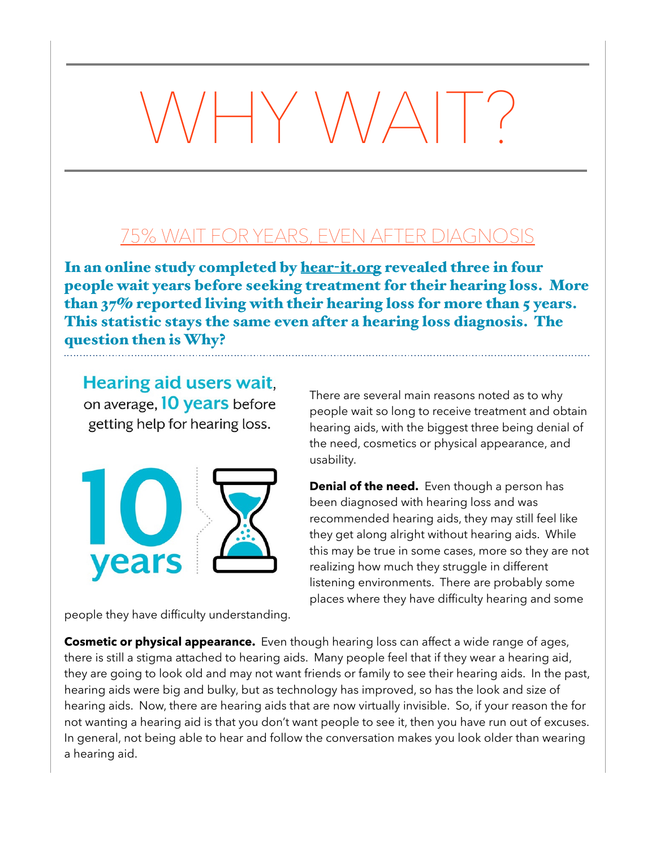## $\mathsf{I}\mathsf{Y}\mathsf{W}\mathsf{V}$

## 75% WAIT FOR YEARS, EVEN AFTER DIAGNOSIS

In an online study completed by hear-[it.org](http://hear-it.org) revealed three in four people wait years before seeking treatment for their hearing loss. More than 37% reported living with their hearing loss for more than 5 years. This statistic stays the same even after a hearing loss diagnosis. The question then is Why?

**Hearing aid users wait,** on average, 10 years before getting help for hearing loss.



people they have difficulty understanding.

There are several main reasons noted as to why people wait so long to receive treatment and obtain hearing aids, with the biggest three being denial of the need, cosmetics or physical appearance, and usability.

**Denial of the need.** Even though a person has been diagnosed with hearing loss and was recommended hearing aids, they may still feel like they get along alright without hearing aids. While this may be true in some cases, more so they are not realizing how much they struggle in different listening environments. There are probably some places where they have difficulty hearing and some

**Cosmetic or physical appearance.** Even though hearing loss can affect a wide range of ages, there is still a stigma attached to hearing aids. Many people feel that if they wear a hearing aid, they are going to look old and may not want friends or family to see their hearing aids. In the past, hearing aids were big and bulky, but as technology has improved, so has the look and size of hearing aids. Now, there are hearing aids that are now virtually invisible. So, if your reason the for not wanting a hearing aid is that you don't want people to see it, then you have run out of excuses. In general, not being able to hear and follow the conversation makes you look older than wearing a hearing aid.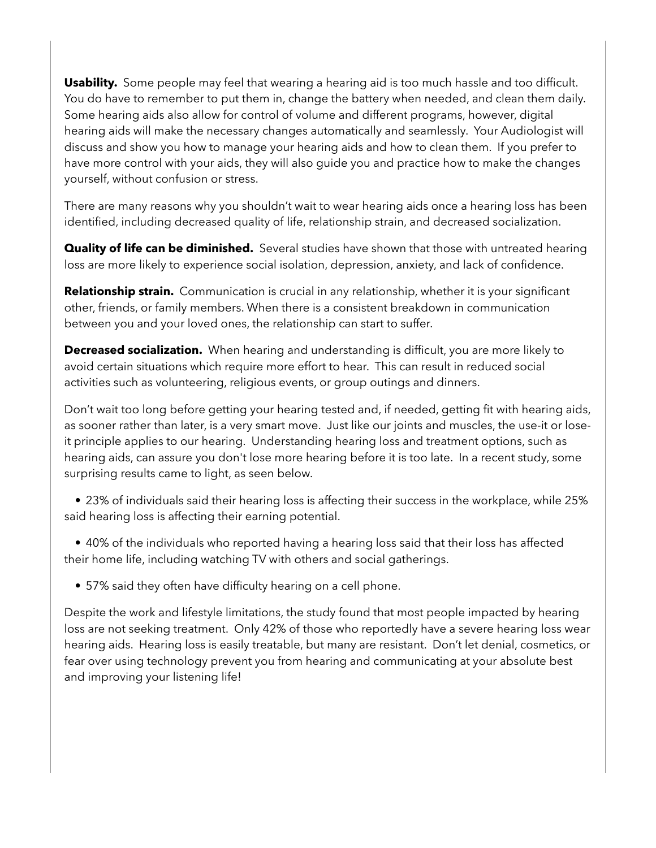**Usability.** Some people may feel that wearing a hearing aid is too much hassle and too difficult. You do have to remember to put them in, change the battery when needed, and clean them daily. Some hearing aids also allow for control of volume and different programs, however, digital hearing aids will make the necessary changes automatically and seamlessly. Your Audiologist will discuss and show you how to manage your hearing aids and how to clean them. If you prefer to have more control with your aids, they will also guide you and practice how to make the changes yourself, without confusion or stress.

There are many reasons why you shouldn't wait to wear hearing aids once a hearing loss has been identified, including decreased quality of life, relationship strain, and decreased socialization.

**Quality of life can be diminished.** Several studies have shown that those with untreated hearing loss are more likely to experience social isolation, depression, anxiety, and lack of confidence.

**Relationship strain.** Communication is crucial in any relationship, whether it is your significant other, friends, or family members. When there is a consistent breakdown in communication between you and your loved ones, the relationship can start to suffer.

**Decreased socialization.** When hearing and understanding is difficult, you are more likely to avoid certain situations which require more effort to hear. This can result in reduced social activities such as volunteering, religious events, or group outings and dinners.

Don't wait too long before getting your hearing tested and, if needed, getting fit with hearing aids, as sooner rather than later, is a very smart move. Just like our joints and muscles, the use-it or loseit principle applies to our hearing. Understanding hearing loss and treatment options, such as hearing aids, can assure you don't lose more hearing before it is too late. In a recent study, some surprising results came to light, as seen below.

 • 23% of individuals said their hearing loss is affecting their success in the workplace, while 25% said hearing loss is affecting their earning potential.

 • 40% of the individuals who reported having a hearing loss said that their loss has affected their home life, including watching TV with others and social gatherings.

• 57% said they often have difficulty hearing on a cell phone.

Despite the work and lifestyle limitations, the study found that most people impacted by hearing loss are not seeking treatment. Only 42% of those who reportedly have a severe hearing loss wear hearing aids. Hearing loss is easily treatable, but many are resistant. Don't let denial, cosmetics, or fear over using technology prevent you from hearing and communicating at your absolute best and improving your listening life!